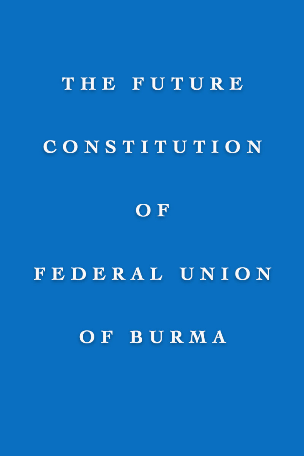### THE FUTURE

# CONSTITUTION

## OF

### FEDERAL UNION

### OF BURMA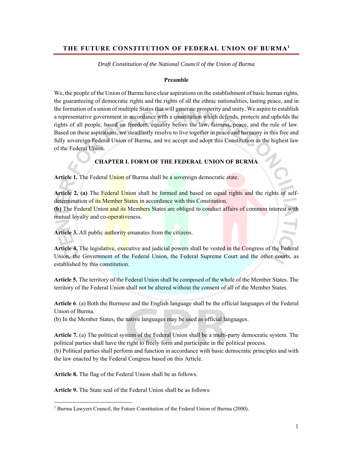#### **THE FUTURE CONSTITUTION OF FEDERAL UNION OF BURMA1**

*Draft Constitution of the National Council of the Union of Burma* 

#### **Preamble**

We, the people of the Union of Burma have clear aspirations on the establishment of basic human rights, the guaranteeing of democratic rights and the rights of all the ethnic nationalities, lasting peace, and in the formation of a union of multiple States that will generate prosperity and unity. We aspire to establish a representative government in accordance with a constitution which defends, protects and upholds the rights of all people, based on freedom, equality before the law, fairness, peace, and the rule of law. Based on these aspirations, we steadfastly resolve to live together in peace and harmony in this free and fully sovereign Federal Union of Burma, and we accept and adopt this Constitution as the highest law of the Federal Union.

#### **CHAPTER I. FORM OF THE FEDERAL UNION OF BURMA**

Article 1. The Federal Union of Burma shall be a sovereign democratic state.

**Article 2. (a)** The Federal Union shall be formed and based on equal rights and the rights of selfdetermination of its Member States in accordance with this Constitution.

**(b)** The Federal Union and its Members States are obliged to conduct affairs of common interest with mutual loyalty and co-operativeness.

**Article 3.** All public authority emanates from the citizens.

Article 4. The legislative, executive and judicial powers shall be vested in the Congress of the Federal Union, the Government of the Federal Union, the Federal Supreme Court and the other courts, as established by this constitution.

**Article 5.** The territory of the Federal Union shall be composed of the whole of the Member States. The territory of the Federal Union shall not be altered without the consent of all of the Member States.

**Article 6**. (a) Both the Burmese and the English language shall be the official languages of the Federal Union of Burma.

(b) In the Member States, the native languages may be used as official languages.

**Article 7.** (a) The political system of the Federal Union shall be a multi-party democratic system. The political parties shall have the right to freely form and participate in the political process.

(b) Political parties shall perform and function in accordance with basic democratic principles and with the law enacted by the Federal Congress based on this Article.

**Article 8.** The flag of the Federal Union shall be as follows.

**Article 9.** The State seal of the Federal Union shall be as follows:

 <sup>1</sup> Burma Lawyers Council, the Future Constitution of the Federal Union of Burma (2000).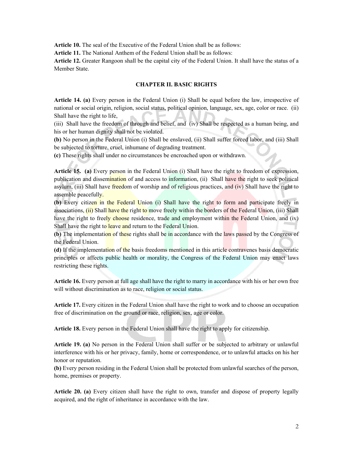**Article 10.** The seal of the Executive of the Federal Union shall be as follows:

**Article 11.** The National Anthem of the Federal Union shall be as follows:

**Article 12.** Greater Rangoon shall be the capital city of the Federal Union. It shall have the status of a Member State.

#### **CHAPTER II. BASIC RIGHTS**

**Article 14. (a)** Every person in the Federal Union (i) Shall be equal before the law, irrespective of national or social origin, religion, social status, political opinion, language, sex, age, color or race. (ii) Shall have the right to life,

(iii) Shall have the freedom of through and belief, and (iv) Shall be respected as a human being, and his or her human dignity shall not be violated.

**(b)** No person in the Federal Union (i) Shall be enslaved, (ii) Shall suffer forced labor, and (iii) Shall be subjected to torture, cruel, inhumane of degrading treatment.

**(c)** These rights shall under no circumstances be encroached upon or withdrawn.

**Article 15. (a)** Every person in the Federal Union (i) Shall have the right to freedom of expression, publication and dissemination of and access to information, (ii) Shall have the right to seek political asylum, (iii) Shall have freedom of worship and of religious practices, and (iv) Shall have the right to assemble peacefully.

**(b)** Every citizen in the Federal Union (i) Shall have the right to form and participate freely in associations, (ii) Shall have the right to move freely within the borders of the Federal Union, (iii) Shall have the right to freely choose residence, trade and employment within the Federal Union, and (iv) Shall have the right to leave and return to the Federal Union.

**(b)** The implementation of these rights shall be in accordance with the laws passed by the Congress of the Federal Union.

**(d)** If the implementation of the basis freedoms mentioned in this article contravenes basis democratic principles or affects public health or morality, the Congress of the Federal Union may enact laws restricting these rights.

**Article 16.** Every person at full age shall have the right to marry in accordance with his or her own free will without discrimination as to race, religion or social status.

**Article 17.** Every citizen in the Federal Union shall have the right to work and to choose an occupation free of discrimination on the ground or race, religion, sex, age or color.

**Article 18.** Every person in the Federal Union shall have the right to apply for citizenship.

**Article 19. (a)** No person in the Federal Union shall suffer or be subjected to arbitrary or unlawful interference with his or her privacy, family, home or correspondence, or to unlawful attacks on his her honor or reputation.

**(b)** Every person residing in the Federal Union shall be protected from unlawful searches of the person, home, premises or property.

**Article 20. (a)** Every citizen shall have the right to own, transfer and dispose of property legally acquired, and the right of inheritance in accordance with the law.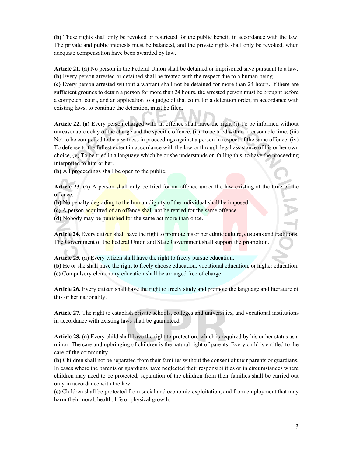**(b)** These rights shall only be revoked or restricted for the public benefit in accordance with the law. The private and public interests must be balanced, and the private rights shall only be revoked, when adequate compensation have been awarded by law.

**Article 21. (a)** No person in the Federal Union shall be detained or imprisoned save pursuant to a law. **(b)** Every person arrested or detained shall be treated with the respect due to a human being.

**(c)** Every person arrested without a warrant shall not be detained for more than 24 hours. If there are sufficient grounds to detain a person for more than 24 hours, the arrested person must be brought before a competent court, and an application to a judge of that court for a detention order, in accordance with existing laws, to continue the detention, must be filed.

**Article 22. (a)** Every person charged with an offence shall have the right (i) To be informed without unreasonable delay of the charge and the specific offence, (ii) To be tried within a reasonable time, (iii) Not to be compelled to be a witness in proceedings against a person in respect of the same offence. (iv) To defense to the fullest extent in accordance with the law or through legal assistance of his or her own choice, (v) To be tried in a language which he or she understands or, failing this, to have the proceeding interpreted to him or her.

**(b)** All proceedings shall be open to the public.

**Article 23. (a)** A person shall only be tried for an offence under the law existing at the time of the offence.

**(b)** No penalty degrading to the human dignity of the individual shall be imposed.

**(c)** A person acquitted of an offence shall not be retried for the same offence.

**(d)** Nobody may be punished for the same act more than once.

**Article 24.** Every citizen shall have the right to promote his or her ethnic culture, customs and traditions. The Government of the Federal Union and State Government shall support the promotion.

**Article 25. (a)** Every citizen shall have the right to freely pursue education.

**(b)** He or she shall have the right to freely choose education, vocational education, or higher education. **(c)** Compulsory elementary education shall be arranged free of charge.

**Article 26.** Every citizen shall have the right to freely study and promote the language and literature of this or her nationality.

**Article 27.** The right to establish private schools, colleges and universities, and vocational institutions in accordance with existing laws shall be guaranteed.

**Article 28. (a)** Every child shall have the right to protection, which is required by his or her status as a minor. The care and upbringing of children is the natural right of parents. Every child is entitled to the care of the community.

**(b)** Children shall not be separated from their families without the consent of their parents or guardians. In cases where the parents or guardians have neglected their responsibilities or in circumstances where children may need to be protected, separation of the children from their families shall be carried out only in accordance with the law.

**(c)** Children shall be protected from social and economic exploitation, and from employment that may harm their moral, health, life or physical growth.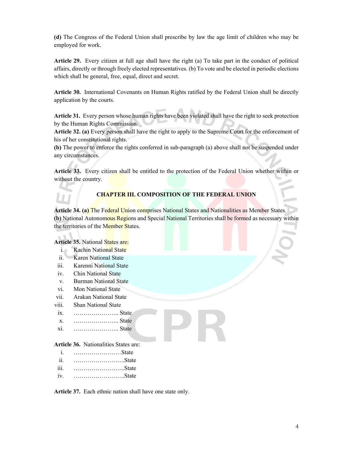**(d)** The Congress of the Federal Union shall prescribe by law the age limit of children who may be employed for work.

**Article 29.** Every citizen at full age shall have the right (a) To take part in the conduct of political affairs, directly or through freely elected representatives. (b) To vote and be elected in periodic elections which shall be general, free, equal, direct and secret.

**Article 30.** International Covenants on Human Rights ratified by the Federal Union shall be directly application by the courts.

**Article 31.** Every person whose human rights have been violated shall have the right to seek protection by the Human Rights Commission.

**Article 32. (a)** Every person shall have the right to apply to the Supreme Court for the enforcement of his of her constitutional rights.

**(b)** The power to enforce the rights conferred in sub-paragraph (a) above shall not be suspended under any circumstances.

**Article 33.** Every citizen shall be entitled to the protection of the Federal Union whether within or without the country.

#### **CHAPTER III. COMPOSITION OF THE FEDERAL UNION**

**Article 34. (a)** The Federal Union comprises National States and Nationalities as Member States. **(b)** National Autonomous Regions and Special National Territories shall be formed as necessary within the territories of the Member States.

#### **Article 35.** National States are:

- i. Kachin National State
- ii. Karen National State
- iii. Karenni National State
- iv. Chin National State
- v. Burman National State
- vi. Mon National State
- vii. Arakan National State
- viii. Shan National State
- ix. ………………….. State
- x. ………………….. State
- xi. ………………….. State

#### **Article 36.** Nationalities States are:

- i. ……………………State
- ii. ……………………..State
- iii. ……………………..State
- iv. ……………………..State

**Article 37.** Each ethnic nation shall have one state only.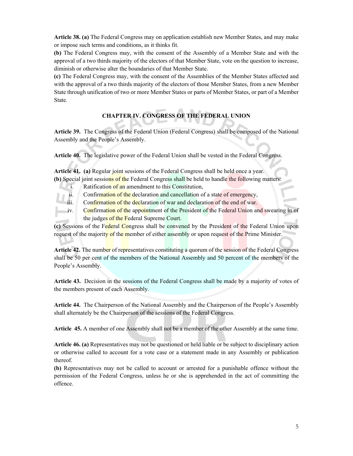**Article 38. (a)** The Federal Congress may on application establish new Member States, and may make or impose such terms and conditions, as it thinks fit.

**(b)** The Federal Congress may, with the consent of the Assembly of a Member State and with the approval of a two thirds majority of the electors of that Member State, vote on the question to increase, diminish or otherwise alter the boundaries of that Member State.

**(c)** The Federal Congress may, with the consent of the Assemblies of the Member States affected and with the approval of a two thirds majority of the electors of those Member States, from a new Member State through unification of two or more Member States or parts of Member States, or part of a Member State.

### **CHAPTER IV. CONGRESS OF THE FEDERAL UNION**

**Article 39.** The Congress of the Federal Union (Federal Congress) shall be composed of the National Assembly and the People's Assembly.

**Article 40.** The legislative power of the Federal Union shall be vested in the Federal Congress.

**Article 41. (a)** Regular joint sessions of the Federal Congress shall be held once a year.

- **(b)** Special joint sessions of the Federal Congress shall be held to handle the following matters: i. Ratification of an amendment to this Constitution,
	- ii. Confirmation of the declaration and cancellation of a state of emergency,
	- iii. Confirmation of the declaration of war and declaration of the end of war.
	- iv. Confirmation of the appointment of the President of the Federal Union and swearing in of the judges of the Federal Supreme Court.

**(c)** Sessions of the Federal Congress shall be convened by the President of the Federal Union upon request of the majority of the member of either assembly or upon request of the Prime Minister.

**Article 42.** The number of representatives constituting a quorum of the session of the Federal Congress shall be 50 per cent of the members of the National Assembly and 50 percent of the members of the People's Assembly.

**Article 43.** Decision in the sessions of the Federal Congress shall be made by a majority of votes of the members present of each Assembly.

**Article 44.** The Chairperson of the National Assembly and the Chairperson of the People's Assembly shall alternately be the Chairperson of the sessions of the Federal Congress.

**Article 45.** A member of one Assembly shall not be a member of the other Assembly at the same time.

**Article 46. (a)** Representatives may not be questioned or held liable or be subject to disciplinary action or otherwise called to account for a vote case or a statement made in any Assembly or publication thereof.

**(b)** Representatives may not be called to account or arrested for a punishable offence without the permission of the Federal Congress, unless he or she is apprehended in the act of committing the offence.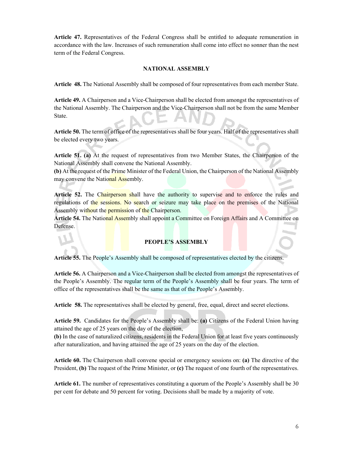**Article 47.** Representatives of the Federal Congress shall be entitled to adequate remuneration in accordance with the law. Increases of such remuneration shall come into effect no sonner than the nest term of the Federal Congress.

#### **NATIONAL ASSEMBLY**

**Article 48.** The National Assembly shall be composed of four representatives from each member State.

**Article 49.** A Chairperson and a Vice-Chairperson shall be elected from amongst the representatives of the National Assembly. The Chairperson and the Vice-Chairperson shall not be from the same Member State.

**Article 50.** The term of office of the representatives shall be four years. Half of the representatives shall be elected every two years.

**Article 51. (a)** At the request of representatives from two Member States, the Chairperson of the National Assembly shall convene the National Assembly.

**(b)** At the request of the Prime Minister of the Federal Union, the Chairperson of the National Assembly may convene the National Assembly.

**Article 52.** The Chairperson shall have the authority to supervise and to enforce the rules and regulations of the sessions. No search or seizure may take place on the premises of the National Assembly without the permission of the Chairperson.

**Article 54.** The National Assembly shall appoint a Committee on Foreign Affairs and A Committee on Defense.

#### **PEOPLE'S ASSEMBLY**

**Article 55.** The People's Assembly shall be composed of representatives elected by the citizens.

**Article 56.** A Chairperson and a Vice-Chairperson shall be elected from amongst the representatives of the People's Assembly. The regular term of the People's Assembly shall be four years. The term of office of the representatives shall be the same as that of the People's Assembly.

**Article 58.** The representatives shall be elected by general, free, equal, direct and secret elections.

**Article 59.** Candidates for the People's Assembly shall be: **(a)** Citizens of the Federal Union having attained the age of 25 years on the day of the election,

**(b)** In the case of naturalized citizens, residents in the Federal Union for at least five years continuously after naturalization, and having attained the age of 25 years on the day of the election.

**Article 60.** The Chairperson shall convene special or emergency sessions on: **(a)** The directive of the President, **(b)** The request of the Prime Minister, or **(c)** The request of one fourth of the representatives.

**Article 61.** The number of representatives constituting a quorum of the People's Assembly shall be 30 per cent for debate and 50 percent for voting. Decisions shall be made by a majority of vote.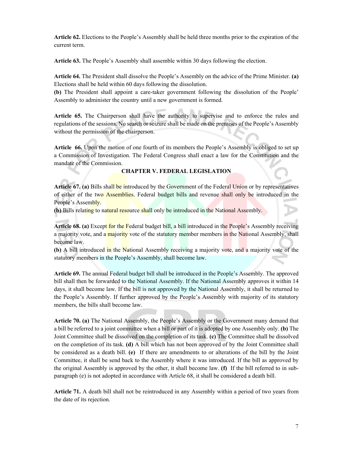**Article 62.** Elections to the People's Assembly shall be held three months prior to the expiration of the current term.

**Article 63.** The People's Assembly shall assemble within 30 days following the election.

**Article 64.** The President shall dissolve the People's Assembly on the advice of the Prime Minister. **(a)**  Elections shall be held within 60 days following the dissolution.

**(b)** The President shall appoint a care-taker government following the dissolution of the People' Assembly to administer the country until a new government is formed.

**Article 65.** The Chairperson shall have the authority to supervise and to enforce the rules and regulations of the sessions. No search or seizure shall be made on the premises of the People's Assembly without the permission of the chairperson.

**Article 66.** Upon the motion of one fourth of its members the People's Assembly is obliged to set up a Commission of Investigation. The Federal Congress shall enact a law for the Constitution and the mandate of the Commission.

#### **CHAPTER V. FEDERAL LEGISLATION**

**Article 67. (a)** Bills shall be introduced by the Government of the Federal Union or by representatives of either of the two Assemblies. Federal budget bills and revenue shall only be introduced in the People's Assembly.

**(b)** Bills relating to natural resource shall only be introduced in the National Assembly.

**Article 68. (a)** Except for the Federal budget bill, a bill introduced in the People's Assembly receiving a majority vote, and a majority vote of the statutory member members in the National Assembly, shall become law.

**(b)** A bill introduced in the National Assembly receiving a majority vote, and a majority vote of the statutory members in the People's Assembly, shall become law.

**Article 69.** The annual Federal budget bill shall be introduced in the People's Assembly. The approved bill shall then be forwarded to the National Assembly. If the National Assembly approves it within 14 days, it shall become law. If the bill is not approved by the National Assembly, it shall be returned to the People's Assembly. If further approved by the People's Assembly with majority of its statutory members, the bills shall become law.

**Article 70. (a)** The National Assembly, the People's Assembly or the Government many demand that a bill be referred to a joint committee when a bill or part of it is adopted by one Assembly only. **(b)** The Joint Committee shall be dissolved on the completion of its task. **(c)** The Committee shall be dissolved on the completion of its task. **(d)** A bill which has not been approved of by the Joint Committee shall be considered as a death bill. **(e)** If there are amendments to or alterations of the bill by the Joint Committee, it shall be send back to the Assembly where it was introduced. If the bill as approved by the original Assembly is approved by the other, it shall become law. **(f)** If the bill referred to in subparagraph (e) is not adopted in accordance with Article 68, it shall be considered a death bill.

**Article 71.** A death bill shall not be reintroduced in any Assembly within a period of two years from the date of its rejection.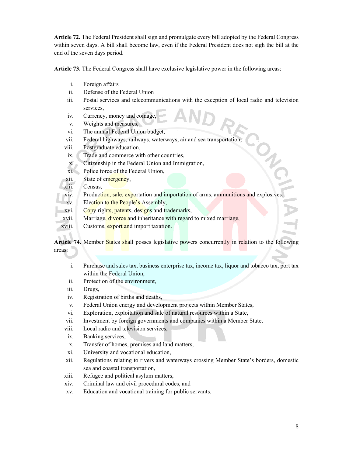**Article 72.** The Federal President shall sign and promulgate every bill adopted by the Federal Congress within seven days. A bill shall become law, even if the Federal President does not sigh the bill at the end of the seven days period.

**Article 73.** The Federal Congress shall have exclusive legislative power in the following areas:

- i. Foreign affairs
- ii. Defense of the Federal Union
- iii. Postal services and telecommunications with the exception of local radio and television services,
- iv. Currency, money and coinage,
- v. Weights and measures,
- vi. The annual Federal Union budget,
- vii. Federal highways, railways, waterways, air and sea transportation,
- viii. Postgraduate education,
- ix. Trade and commerce with other countries,
- x. Citizenship in the Federal Union and Immigration,
- xi. Police force of the Federal Union,
- xii. State of emergency,
- xiii. Census,
- xiv. Production, sale, exportation and importation of arms, ammunitions and explosives,
- xv. Election to the People's Assembly,
- xvi. Copy rights, patents, designs and trademarks,
- xvii. Marriage, divorce and inheritance with regard to mixed marriage,
- xviii. Customs, export and import taxation.

Article 74. Member States shall posses legislative powers concurrently in relation to the following areas:

- i. Purchase and sales tax, business enterprise tax, income tax, liquor and tobacco tax, port tax within the Federal Union,
- ii. Protection of the environment,
- iii. Drugs,
- iv. Registration of births and deaths,
- v. Federal Union energy and development projects within Member States,
- vi. Exploration, exploitation and sale of natural resources within a State,
- vii. Investment by foreign governments and companies within a Member State,
- viii. Local radio and television services,
- ix. Banking services,
- x. Transfer of homes, premises and land matters,
- xi. University and vocational education,
- xii. Regulations relating to rivers and waterways crossing Member State's borders, domestic sea and coastal transportation,
- xiii. Refugee and political asylum matters,
- xiv. Criminal law and civil procedural codes, and
- xv. Education and vocational training for public servants.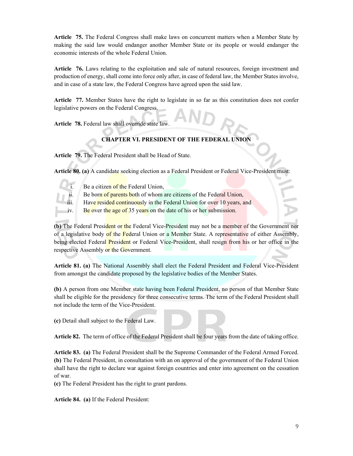**Article 75.** The Federal Congress shall make laws on concurrent matters when a Member State by making the said law would endanger another Member State or its people or would endanger the economic interests of the whole Federal Union.

**Article 76.** Laws relating to the exploitation and sale of natural resources, foreign investment and production of energy, shall come into force only after, in case of federal law, the Member States involve, and in case of a state law, the Federal Congress have agreed upon the said law.

**Article 77.** Member States have the right to legislate in so far as this constitution does not confer legislative powers on the Federal Congress.

**Article 78.** Federal law shall override state law.

#### **CHAPTER VI. PRESIDENT OF THE FEDERAL UNION**

**Article 79.** The Federal President shall be Head of State.

**Article 80. (a)** A candidate seeking election as a Federal President or Federal Vice-President must:

- 
- Be a citizen of the Federal Union,
- Be born of parents both of whom are citizens of the Federal Union,
- Have resided continuously in the Federal Union for over 10 years, and
- iv. Be over the age of 35 years on the date of his or her submission.

**(b)** The Federal President or the Federal Vice-President may not be a member of the Government nor of a legislative body of the Federal Union or a Member State. A representative of either Assembly, being elected Federal President or Federal Vice-President, shall resign from his or her office in the respective Assembly or the Government.

**Article 81. (a)** The National Assembly shall elect the Federal President and Federal Vice-President from amongst the candidate proposed by the legislative bodies of the Member States.

**(b)** A person from one Member state having been Federal President, no person of that Member State shall be eligible for the presidency for three consecutive terms. The term of the Federal President shall not include the term of the Vice-President.

**(c)** Detail shall subject to the Federal Law.

**Article 82.** The term of office of the Federal President shall be four years from the date of taking office.

**Article 83. (a)** The Federal President shall be the Supreme Commander of the Federal Armed Forced. **(b)** The Federal President, in consultation with an on approval of the government of the Federal Union shall have the right to declare war against foreign countries and enter into agreement on the cessation of war.

**(c)** The Federal President has the right to grant pardons.

**Article 84. (a)** If the Federal President: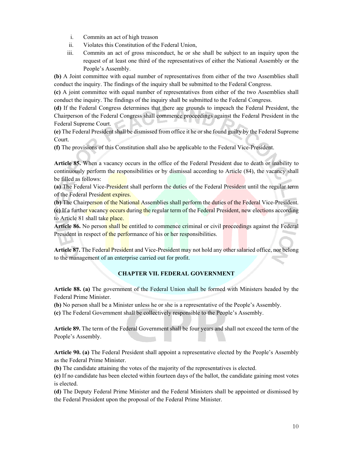- i. Commits an act of high treason
- ii. Violates this Constitution of the Federal Union,
- iii. Commits an act of gross misconduct, he or she shall be subject to an inquiry upon the request of at least one third of the representatives of either the National Assembly or the People's Assembly.

**(b)** A Joint committee with equal number of representatives from either of the two Assemblies shall conduct the inquiry. The findings of the inquiry shall be submitted to the Federal Congress.

**(c)** A joint committee with equal number of representatives from either of the two Assemblies shall conduct the inquiry. The findings of the inquiry shall be submitted to the Federal Congress.

**(d)** If the Federal Congress determines that there are grounds to impeach the Federal President, the Chairperson of the Federal Congress shall commence proceedings against the Federal President in the Federal Supreme Court.

**(e)** The Federal President shall be dismissed from office it he or she found guilty by the Federal Supreme Court.

**(f)** The provisions of this Constitution shall also be applicable to the Federal Vice-President.

**Article 85.** When a vacancy occurs in the office of the Federal President due to death or inability to continuously perform the responsibilities or by dismissal according to Article (84), the vacancy shall be filled as follows:

**(a)** The Federal Vice-President shall perform the duties of the Federal President until the regular term of the Federal President expires.

**(b)** The Chairperson of the National Assemblies shall perform the duties of the Federal Vice-President. **(c)** If a further vacancy occurs during the regular term of the Federal President, new elections according to Article 81 shall take place.

**Article 86.** No person shall be entitled to commence criminal or civil proceedings against the Federal President in respect of the performance of his or her responsibilities.

**Article 87.** The Federal President and Vice-President may not hold any other salaried office, nor belong to the management of an enterprise carried out for profit.

#### **CHAPTER VII. FEDERAL GOVERNMENT**

**Article 88. (a)** The government of the Federal Union shall be formed with Ministers headed by the Federal Prime Minister.

**(b)** No person shall be a Minister unless he or she is a representative of the People's Assembly.

**(c)** The Federal Government shall be collectively responsible to the People's Assembly.

**Article 89.** The term of the Federal Government shall be four years and shall not exceed the term of the People's Assembly.

**Article 90. (a)** The Federal President shall appoint a representative elected by the People's Assembly as the Federal Prime Minister.

**(b)** The candidate attaining the votes of the majority of the representatives is elected.

**(c)** If no candidate has been elected within fourteen days of the ballot, the candidate gaining most votes is elected.

**(d)** The Deputy Federal Prime Minister and the Federal Ministers shall be appointed or dismissed by the Federal President upon the proposal of the Federal Prime Minister.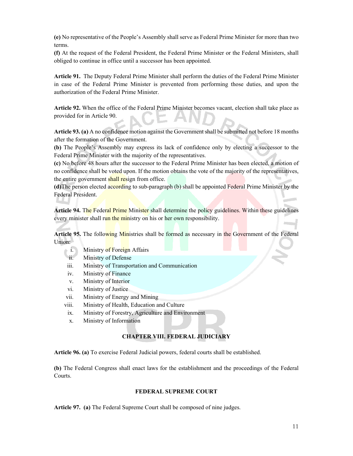**(e)** No representative of the People's Assembly shall serve as Federal Prime Minister for more than two terms.

**(f)** At the request of the Federal President, the Federal Prime Minister or the Federal Ministers, shall obliged to continue in office until a successor has been appointed.

**Article 91.** The Deputy Federal Prime Minister shall perform the duties of the Federal Prime Minister in case of the Federal Prime Minister is prevented from performing those duties, and upon the authorization of the Federal Prime Minister.

**Article 92.** When the office of the Federal Prime Minister becomes vacant, election shall take place as provided for in Article 90.

**Article 93. (a)** A no confidence motion against the Government shall be submitted not before 18 months after the formation of the Government.

**(b)** The People's Assembly may express its lack of confidence only by electing a successor to the Federal Prime Minister with the majority of the representatives.

**(c)** No before 48 hours after the successor to the Federal Prime Minister has been elected, a motion of no confidence shall be voted upon. If the motion obtains the vote of the majority of the representatives, the entire government shall resign from office.

**(d)**The person elected according to sub-paragraph (b) shall be appointed Federal Prime Minister by the Federal President.

**Article 94.** The Federal Prime Minister shall determine the policy guidelines. Within these guidelines every minister shall run the ministry on his or her own responsibility.

**Article 95.** The following Ministries shall be formed as necessary in the Government of the Federal Union:

- i. Ministry of Foreign Affairs
- ii. Ministry of Defense
- iii. Ministry of Transportation and Communication
- iv. Ministry of Finance
- v. Ministry of Interior
- vi. Ministry of Justice
- vii. Ministry of Energy and Mining
- viii. Ministry of Health, Education and Culture
- ix. Ministry of Forestry, Agriculture and Environment
- x. Ministry of Information

#### **CHAPTER VIII. FEDERAL JUDICIARY**

**Article 96. (a)** To exercise Federal Judicial powers, federal courts shall be established.

**(b)** The Federal Congress shall enact laws for the establishment and the proceedings of the Federal Courts.

#### **FEDERAL SUPREME COURT**

**Article 97. (a)** The Federal Supreme Court shall be composed of nine judges.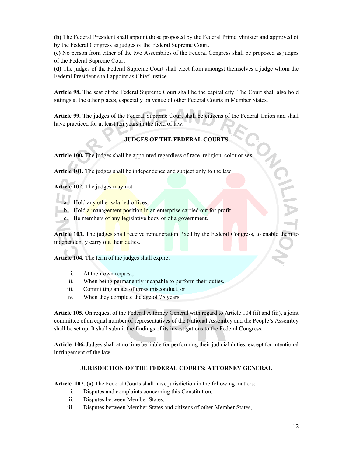**(b)** The Federal President shall appoint those proposed by the Federal Prime Minister and approved of by the Federal Congress as judges of the Federal Supreme Court.

**(c)** No person from either of the two Assemblies of the Federal Congress shall be proposed as judges of the Federal Supreme Court

**(d)** The judges of the Federal Supreme Court shall elect from amongst themselves a judge whom the Federal President shall appoint as Chief Justice.

**Article 98.** The seat of the Federal Supreme Court shall be the capital city. The Court shall also hold sittings at the other places, especially on venue of other Federal Courts in Member States.

**Article 99.** The judges of the Federal Supreme Court shall be citizens of the Federal Union and shall have practiced for at least ten years in the field of law.

#### **JUDGES OF THE FEDERAL COURTS**

**Article 100.** The judges shall be appointed regardless of race, religion, color or sex.

**Article 101.** The judges shall be independence and subject only to the law.

**Article 102.** The judges may not:

- a. Hold any other salaried offices,
- b. Hold a management position in an enterprise carried out for profit,
- c. Be members of any legislative body or of a government.

Article 103. The judges shall receive remuneration fixed by the Federal Congress, to enable them to independently carry out their duties.

**Article 104.** The term of the judges shall expire:

- i. At their own request,
- ii. When being permanently incapable to perform their duties,
- iii. Committing an act of gross misconduct, or
- iv. When they complete the age of 75 years.

**Article 105.** On request of the Federal Attorney General with regard to Article 104 (ii) and (iii), a joint committee of an equal number of representatives of the National Assembly and the People's Assembly shall be set up. It shall submit the findings of its investigations to the Federal Congress.

**Article 106.** Judges shall at no time be liable for performing their judicial duties, except for intentional infringement of the law.

#### **JURISDICTION OF THE FEDERAL COURTS: ATTORNEY GENERAL**

**Article 107. (a)** The Federal Courts shall have jurisdiction in the following matters:

- i. Disputes and complaints concerning this Constitution,
- ii. Disputes between Member States,
- iii. Disputes between Member States and citizens of other Member States,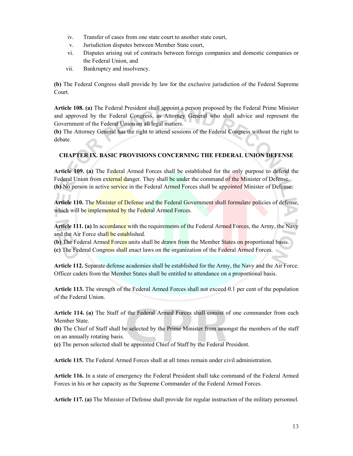- iv. Transfer of cases from one state court to another state court,
- v. Jurisdiction disputes between Member State court,
- vi. Disputes arising out of contracts between foreign companies and domestic companies or the Federal Union, and
- vii. Bankruptcy and insolvency.

**(b)** The Federal Congress shall provide by law for the exclusive jurisdiction of the Federal Supreme Court.

**Article 108. (a)** The Federal President shall appoint a person proposed by the Federal Prime Minister and approved by the Federal Congress, as Attorney General who shall advice and represent the Government of the Federal Union on all legal matters.

**(b)** The Attorney General has the right to attend sessions of the Federal Congress without the right to debate.

#### **CHAPTER IX. BASIC PROVISIONS CONCERNING THE FEDERAL UNION DEFENSE**

**Article 109. (a)** The Federal Armed Forces shall be established for the only purpose to defend the Federal Union from external danger. They shall be under the command of the Minister of Defense. **(b)** No person in active service in the Federal Armed Forces shall be appointed Minister of Defense.

**Article 110.** The Minister of Defense and the Federal Government shall formulate policies of defense, which will be implemented by the Federal Armed Forces.

**Article 111. (a)** In accordance with the requirements of the Federal Armed Forces, the Army, the Navy and the Air Force shall be established.

**(b)** The Federal Armed Forces units shall be drawn from the Member States on proportional basis. **(c)** The Federal Congress shall enact laws on the organization of the Federal Armed Forces.

**Article 112.** Separate defense academies shall be established for the Army, the Navy and the Air Force. Officer cadets from the Member States shall be entitled to attendance on a proportional basis.

**Article 113.** The strength of the Federal Armed Forces shall not exceed 0.1 per cent of the population of the Federal Union.

**Article 114. (a)** The Staff of the Federal Armed Forces shall consist of one commander from each Member State.

**(b)** The Chief of Staff shall be selected by the Prime Minister from amongst the members of the staff on an annually rotating basis.

**(c)** The person selected shall be appointed Chief of Staff by the Federal President.

**Article 115.** The Federal Armed Forces shall at all times remain under civil administration.

**Article 116.** In a state of emergency the Federal President shall take command of the Federal Armed Forces in his or her capacity as the Supreme Commander of the Federal Armed Forces.

**Article 117. (a)** The Minister of Defense shall provide for regular instruction of the military personnel.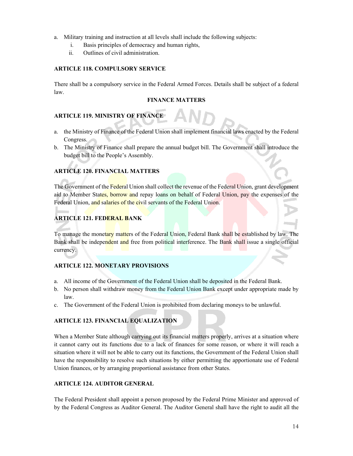- a. Military training and instruction at all levels shall include the following subjects:
	- i. Basis principles of democracy and human rights,
	- ii. Outlines of civil administration.

#### **ARTICLE 118. COMPULSORY SERVICE**

There shall be a compulsory service in the Federal Armed Forces. Details shall be subject of a federal law.

#### **FINANCE MATTERS**

#### **ARTICLE 119. MINISTRY OF FINANCE**

- a. the Ministry of Finance of the Federal Union shall implement financial laws enacted by the Federal Congress.
- b. The Ministry of Finance shall prepare the annual budget bill. The Government shall introduce the budget bill to the People's Assembly.

#### **ARTICLE 120. FINANCIAL MATTERS**

The Government of the Federal Union shall collect the revenue of the Federal Union, grant development aid to Member States, borrow and repay loans on behalf of Federal Union, pay the expenses of the Federal Union, and salaries of the civil servants of the Federal Union.

#### **ARTICLE 121. FEDERAL BANK**

To manage the monetary matters of the Federal Union, Federal Bank shall be established by law. The Bank shall be independent and free from political interference. The Bank shall issue a single official currency.

#### **ARTICLE 122. MONETARY PROVISIONS**

- a. All income of the Government of the Federal Union shall be deposited in the Federal Bank.
- b. No person shall withdraw money from the Federal Union Bank except under appropriate made by law.
- c. The Government of the Federal Union is prohibited from declaring moneys to be unlawful.

#### **ARTICLE 123. FINANCIAL EQUALIZATION**

When a Member State although carrying out its financial matters properly, arrives at a situation where it cannot carry out its functions due to a lack of finances for some reason, or where it will reach a situation where it will not be able to carry out its functions, the Government of the Federal Union shall have the responsibility to resolve such situations by either permitting the apportionate use of Federal Union finances, or by arranging proportional assistance from other States.

#### **ARTICLE 124. AUDITOR GENERAL**

The Federal President shall appoint a person proposed by the Federal Prime Minister and approved of by the Federal Congress as Auditor General. The Auditor General shall have the right to audit all the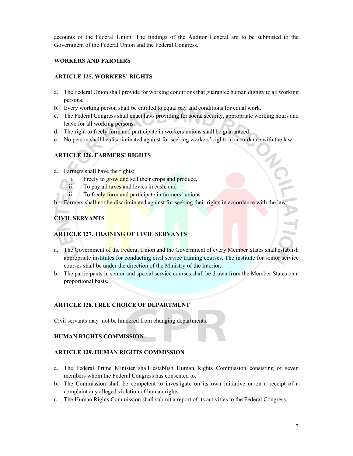accounts of the Federal Union. The findings of the Auditor General are to be submitted to the Government of the Federal Union and the Federal Congress.

#### **WORKERS AND FARMERS**

#### **ARTICLE 125. WORKERS' RIGHTS**

- a. The Federal Union shall provide for working conditions that guarantee human dignity to all working persons.
- b. Every working person shall be entitled to equal pay and conditions for equal work.
- c. The Federal Congress shall enact laws providing for social security, appropriate working hours and leave for all working persons.
- d. The right to freely form and participate in workers unions shall be guaranteed.
- e. No person shall be discriminated against for seeking workers' rights in accordance with the law.

#### **ARTICLE 126. FARMERS' RIGHTS**

- a. Farmers shall have the rights:
	- i. Freely to grow and sell their crops and produce,
	- ii. To pay all taxes and levies in cash, and
	- iii. To freely form and participate in farmers' unions.
- b. Farmers shall not be discriminated against for seeking their rights in accordance with the law

#### **CIVIL SERVANTS**

#### **ARTICLE 127. TRAINING OF CIVIL SERVANTS**

- a. The Government of the Federal Union and the Government of every Member States shall establish appropriate institutes for conducting civil service training courses. The institute for senior service courses shall be under the direction of the Ministry of the Interior.
- b. The participants in senior and special service courses shall be drawn from the Member States on a proportional basis.

#### **ARTICLE 128. FREE CHOICE OF DEPARTMENT**

Civil servants may not be hindered from changing departments.

#### **HUMAN RIGHTS COMMISSION**

#### **ARTICLE 129. HUMAN RIGHTS COMMISSION**

- a. The Federal Prime Minister shall establish Human Rights Commission consisting of seven members whom the Federal Congress has consented to.
- b. The Commission shall be competent to investigate on its own initiative or on a receipt of a complaint any alleged violation of human rights.
- c. The Human Rights Commission shall submit a report of its activities to the Federal Congress.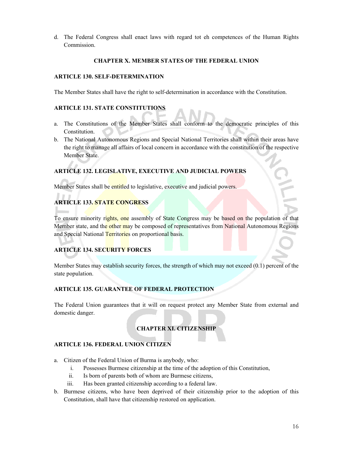d. The Federal Congress shall enact laws with regard tot eh competences of the Human Rights Commission.

#### **CHAPTER X. MEMBER STATES OF THE FEDERAL UNION**

#### **ARTICLE 130. SELF-DETERMINATION**

The Member States shall have the right to self-determination in accordance with the Constitution.

#### **ARTICLE 131. STATE CONSTITUTIONS**

- a. The Constitutions of the Member States shall conform to the democratic principles of this Constitution.
- b. The National Autonomous Regions and Special National Territories shall within their areas have the right to manage all affairs of local concern in accordance with the constitution of the respective Member State.

#### **ARTICLE 132. LEGISLATIVE, EXECUTIVE AND JUDICIAL POWERS**

Member States shall be entitled to legislative, executive and judicial powers.

#### **ARTICLE 133. STATE CONGRESS**

To ensure minority rights, one assembly of State Congress may be based on the population of that Member state, and the other may be composed of representatives from National Autonomous Regions and Special National Territories on proportional basis.

#### **ARTICLE 134. SECURITY FORCES**

Member States may establish security forces, the strength of which may not exceed (0.1) percent of the state population.

#### **ARTICLE 135. GUARANTEE OF FEDERAL PROTECTION**

The Federal Union guarantees that it will on request protect any Member State from external and domestic danger.

#### **CHAPTER XI. CITIZENSHIP**

#### **ARTICLE 136. FEDERAL UNION CITIZEN**

- a. Citizen of the Federal Union of Burma is anybody, who:
	- i. Possesses Burmese citizenship at the time of the adoption of this Constitution,
	- ii. Is born of parents both of whom are Burmese citizens,
	- iii. Has been granted citizenship according to a federal law.
- b. Burmese citizens, who have been deprived of their citizenship prior to the adoption of this Constitution, shall have that citizenship restored on application.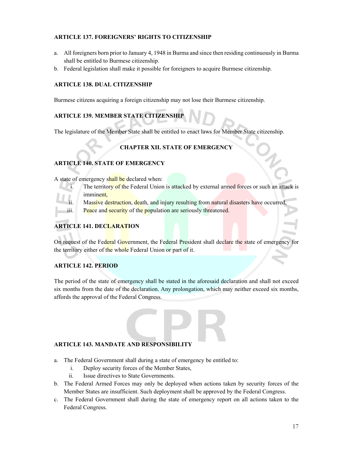#### **ARTICLE 137. FOREIGNERS' RIGHTS TO CITIZENSHIP**

- a. All foreigners born prior to January 4, 1948 in Burma and since then residing continuously in Burma shall be entitled to Burmese citizenship.
- b. Federal legislation shall make it possible for foreigners to acquire Burmese citizenship.

#### **ARTICLE 138. DUAL CITIZENSHIP**

Burmese citizens acquiring a foreign citizenship may not lose their Burmese citizenship.

#### **ARTICLE 139. MEMBER STATE CITIZENSHIP**

The legislature of the Member State shall be entitled to enact laws for Member State citizenship.

#### **CHAPTER XII. STATE OF EMERGENCY**

#### **ARTICLE 140. STATE OF EMERGENCY**

A state of emergency shall be declared when:

- i. The territory of the Federal Union is attacked by external armed forces or such an attack is imminent,
- Massive destruction, death, and injury resulting from natural disasters have occurred
- iii. Peace and security of the population are seriously threatened.

#### **ARTICLE 141. DECLARATION**

On request of the Federal Government, the Federal President shall declare the state of emergency for the territory either of the whole Federal Union or part of it.

#### **ARTICLE 142. PERIOD**

The period of the state of emergency shall be stated in the aforesaid declaration and shall not exceed six months from the date of the declaration. Any prolongation, which may neither exceed six months, affords the approval of the Federal Congress.

#### **ARTICLE 143. MANDATE AND RESPONSIBILITY**

- a. The Federal Government shall during a state of emergency be entitled to:
	- i. Deploy security forces of the Member States,
	- ii. Issue directives to State Governments.
- b. The Federal Armed Forces may only be deployed when actions taken by security forces of the Member States are insufficient. Such deployment shall be approved by the Federal Congress.
- c. The Federal Government shall during the state of emergency report on all actions taken to the Federal Congress.